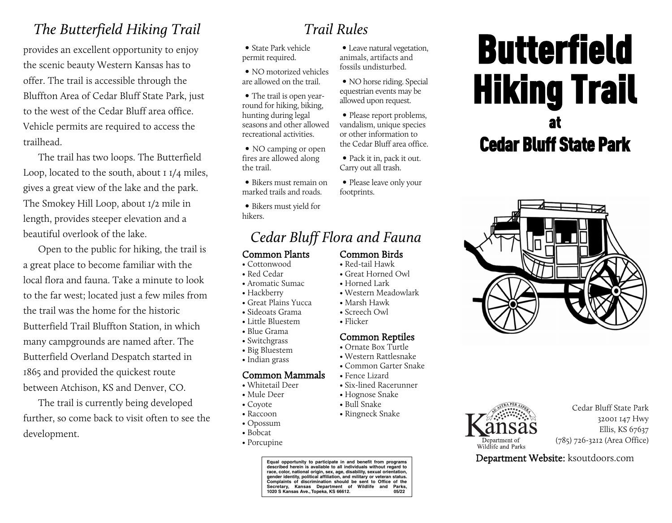## *The Butterfield Hiking Trail*

provides an excellent opportunity to enjoy the scenic beauty Western Kansas has to offer. The trail is accessible through the Bluffton Area of Cedar Bluff State Park, just to the west of the Cedar Bluff area office. Vehicle permits are required to access the trailhead.

The trail has two loops. The Butterfield Loop, located to the south, about 1 1/4 miles, gives a great view of the lake and the park. The Smokey Hill Loop, about 1/2 mile in length, provides steeper elevation and a beautiful overlook of the lake.

Open to the public for hiking, the trail is a great place to become familiar with the local flora and fauna. Take a minute to look to the far west; located just a few miles from the trail was the home for the historic Butterfield Trail Bluffton Station, in which many campgrounds are named after. The Butterfield Overland Despatch started in 1865 and provided the quickest route between Atchison, KS and Denver, CO.

The trail is currently being developed further, so come back to visit often to see the development.

# *Trail Rules*

• Leave natural vegetation, animals, artifacts and fossils undisturbed.

• NO horse riding. Special equestrian events may be allowed upon request.

• Please report problems, vandalism, unique species or other information to the Cedar Bluff area office. • Pack it in, pack it out. Carry out all trash.

• Please leave only your

• State Park vehicle permit required.

• NO motorized vehicles are allowed on the trail.

• The trail is open yearround for hiking, biking, hunting during legal seasons and other allowed recreational activities.

• NO camping or open fires are allowed along the trail.

• Bikers must remain on marked trails and roads.

• Bikers must yield for hikers.

## *Cedar Bluff Flora and Fauna*

#### Common Plants

- Cottonwood
- Red Cedar
- Aromatic Sumac
- Hackberry
- Great Plains Yucca
- Sideoats Grama
- Little Bluestem
- Blue Grama
- Switchgrass
- Big Bluestem • Indian grass
- 

## Common Mammals

- Whitetail Deer
- Mule Deer
- Coyote
- Raccoon
- Opossum
- Bobcat
- Porcupine

**Equal opportunity to participate in and benefit from programs described herein is available to all individuals without regard to race, color, national origin, sex, age, disability, sexual orientation, gender identity, political affiliation, and military or veteran status. Complaints of discrimination should be sent to Office of the Secretary, Kansas Department of Wildlife and Parks, 1020 S Kansas Ave., Topeka, KS 66612. 05/22**

# **Butterfield** Hiking Trail at Cedar Bluff State Park





Cedar Bluff State Park 32001 147 Hwy Ellis, KS 67637 (785) 726-3212 (Area Office)

Department Website: ksoutdoors.com

Common Birds

footprints.

- Red-tail Hawk • Great Horned Owl
- Horned Lark
- Western Meadowlark
- Marsh Hawk
- Screech Owl
- Flicker

### Common Reptiles

- Ornate Box Turtle
- Western Rattlesnake • Common Garter Snake
- Fence Lizard
- Six-lined Racerunner
- Hognose Snake • Bull Snake
- Ringneck Snake